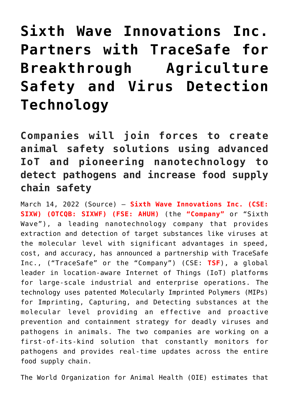## **[Sixth Wave Innovations Inc.](https://investorintel.com/markets/biotech-healthcare/biotech-news/sixth-wave-innovations-inc-partners-with-tracesafe-for-breakthrough-agriculture-safety-and-virus-detection-technology/) [Partners with TraceSafe for](https://investorintel.com/markets/biotech-healthcare/biotech-news/sixth-wave-innovations-inc-partners-with-tracesafe-for-breakthrough-agriculture-safety-and-virus-detection-technology/) [Breakthrough Agriculture](https://investorintel.com/markets/biotech-healthcare/biotech-news/sixth-wave-innovations-inc-partners-with-tracesafe-for-breakthrough-agriculture-safety-and-virus-detection-technology/) [Safety and Virus Detection](https://investorintel.com/markets/biotech-healthcare/biotech-news/sixth-wave-innovations-inc-partners-with-tracesafe-for-breakthrough-agriculture-safety-and-virus-detection-technology/) [Technology](https://investorintel.com/markets/biotech-healthcare/biotech-news/sixth-wave-innovations-inc-partners-with-tracesafe-for-breakthrough-agriculture-safety-and-virus-detection-technology/)**

**Companies will join forces to create animal safety solutions using advanced IoT and pioneering nanotechnology to detect pathogens and increase food supply chain safety**

March 14, 2022 ([Source\)](https://www.newsfilecorp.com/release/116654/Sixth-Wave-Innovations-Inc.-Partners-with-TraceSafe-for-Breakthrough-Agriculture-Safety-and-Virus-Detection-Technology) — **Sixth Wave Innovations Inc. (CSE: SIXW) (OTCQB: SIXWF) (FSE: AHUH)** (the **"Company"** or "Sixth Wave"), a leading nanotechnology company that provides extraction and detection of target substances like viruses at the molecular level with significant advantages in speed, cost, and accuracy, has announced a partnership with [TraceSafe](https://www.newsfilecorp.com/redirect/kzekKI15KQ) [Inc.](https://www.newsfilecorp.com/redirect/kzekKI15KQ), ("TraceSafe" or the "Company") (CSE: **TSF**), a global leader in location-aware Internet of Things (IoT) platforms for large-scale industrial and enterprise operations. The technology uses patented Molecularly Imprinted Polymers (MIPs) for Imprinting, Capturing, and Detecting substances at the molecular level providing an effective and proactive prevention and containment strategy for deadly viruses and pathogens in animals. The two companies are working on a first-of-its-kind solution that constantly monitors for pathogens and provides real-time updates across the entire food supply chain.

The World Organization for Animal Health (OIE) estimates that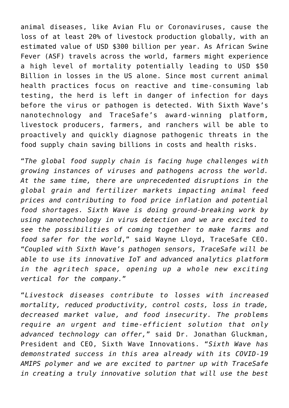animal diseases, like Avian Flu or Coronaviruses, cause the loss of at least 20% of livestock production globally, with an estimated value of USD \$300 billion per year. As African Swine Fever (ASF) travels across the world, farmers might experience a high level of mortality potentially leading to USD \$50 Billion in losses in the US alone. Since most current animal health practices focus on reactive and time-consuming lab testing, the herd is left in danger of infection for days before the virus or pathogen is detected. With Sixth Wave's nanotechnology and TraceSafe's award-winning platform, livestock producers, farmers, and ranchers will be able to proactively and quickly diagnose pathogenic threats in the food supply chain saving billions in costs and health risks.

"*The global food supply chain is facing huge challenges with growing instances of viruses and pathogens across the world. At the same time, there are unprecedented disruptions in the global grain and fertilizer markets impacting animal feed prices and contributing to food price inflation and potential food shortages. Sixth Wave is doing ground-breaking work by using nanotechnology in virus detection and we are excited to see the possibilities of coming together to make farms and food safer for the world*," said Wayne Lloyd, TraceSafe CEO. "*Coupled with Sixth Wave's pathogen sensors, TraceSafe will be able to use its innovative IoT and advanced analytics platform in the agritech space, opening up a whole new exciting vertical for the company.*"

"*Livestock diseases contribute to losses with increased mortality, reduced productivity, control costs, loss in trade, decreased market value, and food insecurity. The problems require an urgent and time-efficient solution that only advanced technology can offer,*" said Dr. Jonathan Gluckman, President and CEO, Sixth Wave Innovations. "*Sixth Wave has demonstrated success in this area already with its COVID-19 AMIPS polymer and we are excited to partner up with TraceSafe in creating a truly innovative solution that will use the best*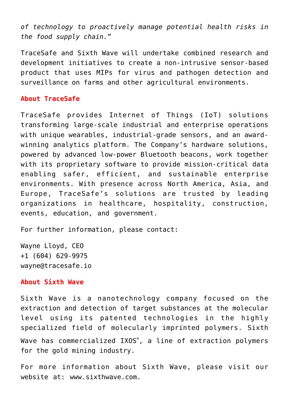*of technology to proactively manage potential health risks in the food supply chain.*"

TraceSafe and Sixth Wave will undertake combined research and development initiatives to create a non-intrusive sensor-based product that uses MIPs for virus and pathogen detection and surveillance on farms and other agricultural environments.

## **About TraceSafe**

TraceSafe provides Internet of Things (IoT) solutions transforming large-scale industrial and enterprise operations with unique wearables, industrial-grade sensors, and an awardwinning analytics platform. The Company's hardware solutions, powered by advanced low-power Bluetooth beacons, work together with its proprietary software to provide mission-critical data enabling safer, efficient, and sustainable enterprise environments. With presence across North America, Asia, and Europe, TraceSafe's solutions are trusted by leading organizations in healthcare, hospitality, construction, events, education, and government.

For further information, please contact:

Wayne Lloyd, CEO +1 (604) 629-9975 [wayne@tracesafe.io](mailto:wayne@tracesafe.io)

## **About Sixth Wave**

Sixth Wave is a nanotechnology company focused on the extraction and detection of target substances at the molecular level using its patented technologies in the highly specialized field of molecularly imprinted polymers. Sixth Wave has commercialized IXOS® , a line of extraction polymers for the gold mining industry.

For more information about Sixth Wave, please visit our website at: [www.sixthwave.com](https://www.newsfilecorp.com/redirect/BNAjRT0MXA).